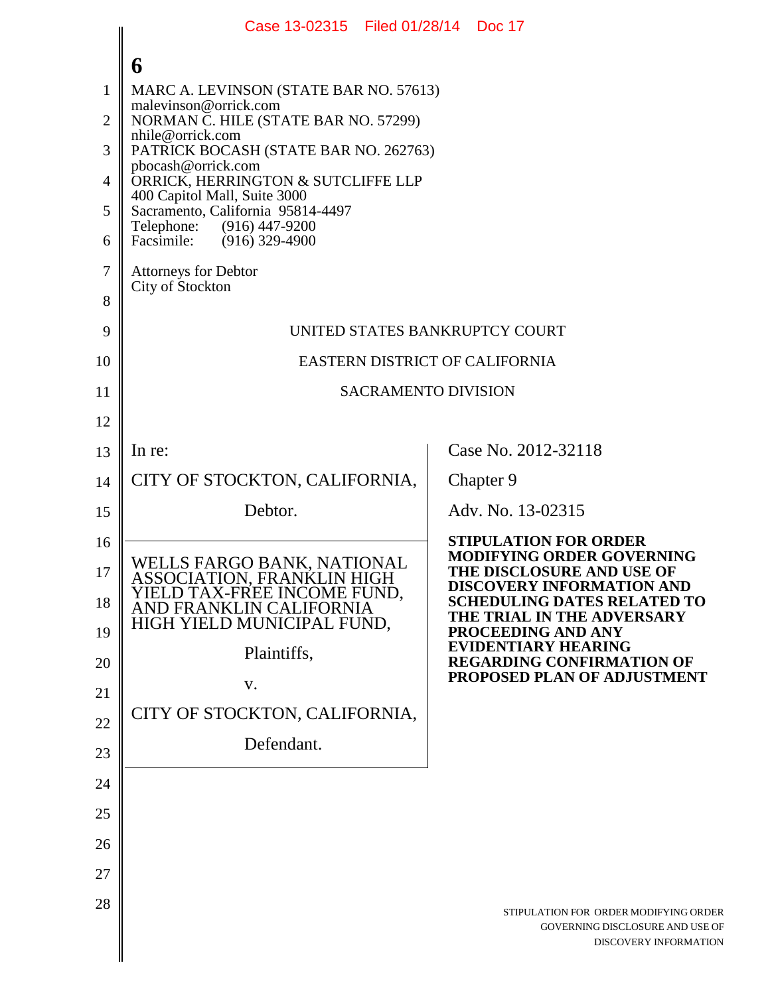|                | Case 13-02315 Filed 01/28/14 Doc 17                               |                                                                        |  |
|----------------|-------------------------------------------------------------------|------------------------------------------------------------------------|--|
|                | 6                                                                 |                                                                        |  |
| $\mathbf{1}$   | MARC A. LEVINSON (STATE BAR NO. 57613)                            |                                                                        |  |
| $\overline{2}$ | malevinson@orrick.com<br>NORMAN C. HILE (STATE BAR NO. 57299)     |                                                                        |  |
| 3              | nhile@orrick.com<br>PATRICK BOCASH (STATE BAR NO. 262763)         |                                                                        |  |
| 4              | pbocash@orrick.com<br>ORRICK, HERRINGTON & SUTCLIFFE LLP          |                                                                        |  |
| 5              | 400 Capitol Mall, Suite 3000<br>Sacramento, California 95814-4497 |                                                                        |  |
| 6              | Telephone: (916) 447-9200<br>Facsimile: (916) 329-4900            |                                                                        |  |
| 7              | <b>Attorneys for Debtor</b>                                       |                                                                        |  |
| 8              | City of Stockton                                                  |                                                                        |  |
| 9              | UNITED STATES BANKRUPTCY COURT                                    |                                                                        |  |
| 10             | <b>EASTERN DISTRICT OF CALIFORNIA</b>                             |                                                                        |  |
| 11             | <b>SACRAMENTO DIVISION</b>                                        |                                                                        |  |
| 12             |                                                                   |                                                                        |  |
| 13             | In re:                                                            | Case No. 2012-32118                                                    |  |
| 14             | CITY OF STOCKTON, CALIFORNIA,                                     | Chapter 9                                                              |  |
| 15             | Debtor.                                                           | Adv. No. 13-02315                                                      |  |
| 16             |                                                                   | <b>STIPULATION FOR ORDER</b>                                           |  |
| 17             | WELLS FARGO BANK, NATIONAL<br>ASSOCIATION, FRANKLIN HIGH          | <b>MODIFYING ORDER GOVERNING</b><br>THE DISCLOSURE AND USE OF          |  |
| 18             | YIELD TAX-FREE INCOME FUND,<br>AND FRANKLIN CALIFORNIA            | <b>DISCOVERY INFORMATION AND</b><br><b>SCHEDULING DATES RELATED TO</b> |  |
| 19             | HIGH YIELD MUNICIPAL FUND,                                        | THE TRIAL IN THE ADVERSARY<br><b>PROCEEDING AND ANY</b>                |  |
| 20             | Plaintiffs,                                                       | <b>EVIDENTIARY HEARING</b><br><b>REGARDING CONFIRMATION OF</b>         |  |
| 21             | V.                                                                | PROPOSED PLAN OF ADJUSTMENT                                            |  |
| 22             | CITY OF STOCKTON, CALIFORNIA,                                     |                                                                        |  |
| 23             | Defendant.                                                        |                                                                        |  |
| 24             |                                                                   |                                                                        |  |
| 25             |                                                                   |                                                                        |  |
| 26             |                                                                   |                                                                        |  |
| 27             |                                                                   |                                                                        |  |
| 28             |                                                                   | STIPULATION FOR ORDER MODIFYING ORDER                                  |  |
|                |                                                                   | GOVERNING DISCLOSURE AND USE OF<br>DISCOVERY INFORMATION               |  |
|                |                                                                   |                                                                        |  |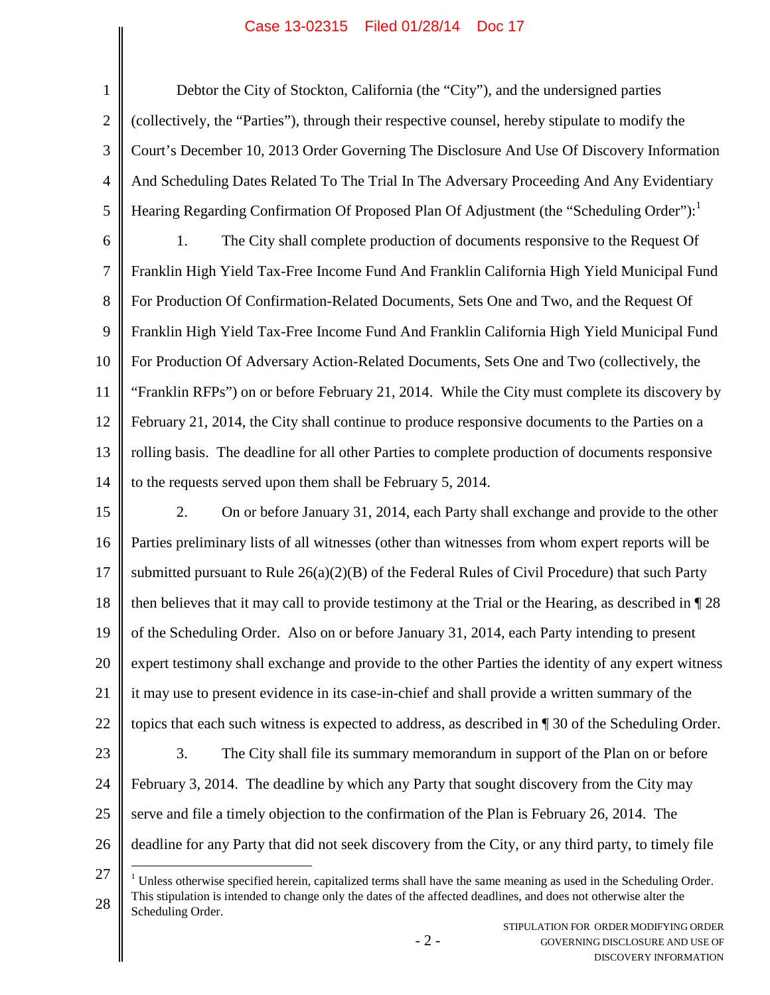## Case 13-02315 Filed 01/28/14 Doc 17

1 2 3 4 5 6 7 8 9 10 11 12 13 14 15 16 17 18 19 20 21 22 23 24 25 26 Debtor the City of Stockton, California (the "City"), and the undersigned parties (collectively, the "Parties"), through their respective counsel, hereby stipulate to modify the Court's December 10, 2013 Order Governing The Disclosure And Use Of Discovery Information And Scheduling Dates Related To The Trial In The Adversary Proceeding And Any Evidentiary Hearing Regarding Confirmation Of Proposed Plan Of Adjustment (the "Scheduling Order"): 1. The City shall complete production of documents responsive to the Request Of Franklin High Yield Tax-Free Income Fund And Franklin California High Yield Municipal Fund For Production Of Confirmation-Related Documents, Sets One and Two, and the Request Of Franklin High Yield Tax-Free Income Fund And Franklin California High Yield Municipal Fund For Production Of Adversary Action-Related Documents, Sets One and Two (collectively, the "Franklin RFPs") on or before February 21, 2014. While the City must complete its discovery by February 21, 2014, the City shall continue to produce responsive documents to the Parties on a rolling basis. The deadline for all other Parties to complete production of documents responsive to the requests served upon them shall be February 5, 2014. 2. On or before January 31, 2014, each Party shall exchange and provide to the other Parties preliminary lists of all witnesses (other than witnesses from whom expert reports will be submitted pursuant to Rule 26(a)(2)(B) of the Federal Rules of Civil Procedure) that such Party then believes that it may call to provide testimony at the Trial or the Hearing, as described in ¶ 28 of the Scheduling Order. Also on or before January 31, 2014, each Party intending to present expert testimony shall exchange and provide to the other Parties the identity of any expert witness it may use to present evidence in its case-in-chief and shall provide a written summary of the topics that each such witness is expected to address, as described in ¶ 30 of the Scheduling Order. 3. The City shall file its summary memorandum in support of the Plan on or before February 3, 2014. The deadline by which any Party that sought discovery from the City may serve and file a timely objection to the confirmation of the Plan is February 26, 2014. The deadline for any Party that did not seek discovery from the City, or any third party, to timely file

<sup>27</sup> 28 <sup>1</sup> Unless otherwise specified herein, capitalized terms shall have the same meaning as used in the Scheduling Order. This stipulation is intended to change only the dates of the affected deadlines, and does not otherwise alter the Scheduling Order.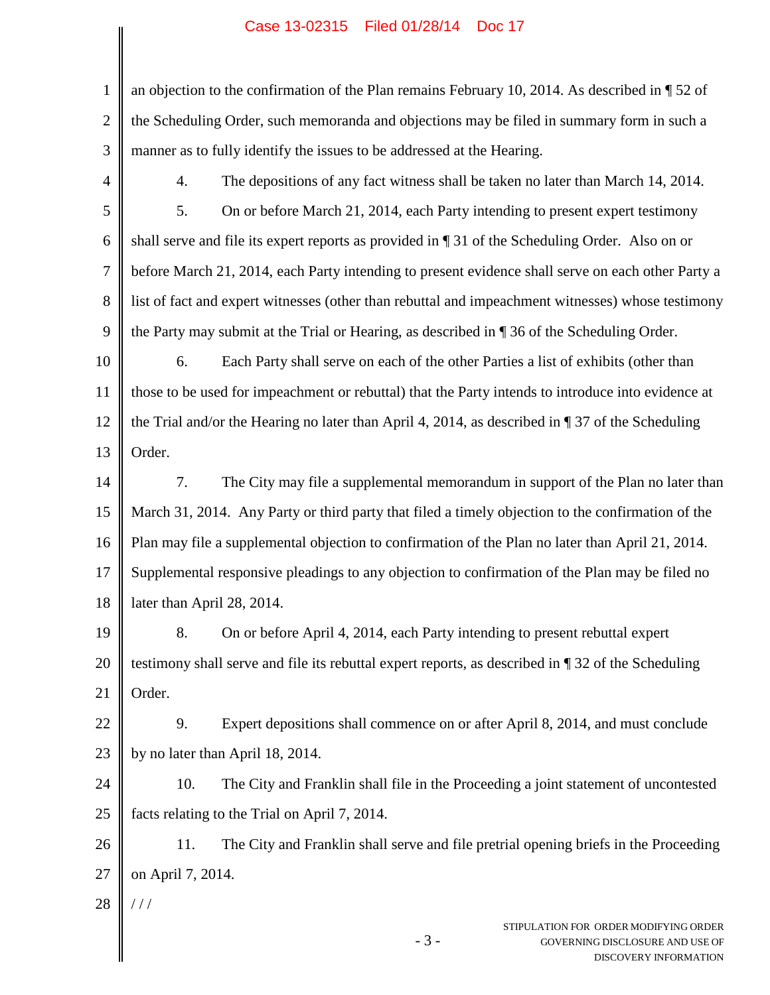## Case 13-02315 Filed 01/28/14 Doc 17

| $\mathbf{1}$   | an objection to the confirmation of the Plan remains February 10, 2014. As described in $\P$ 52 of         |  |  |
|----------------|------------------------------------------------------------------------------------------------------------|--|--|
| $\overline{2}$ | the Scheduling Order, such memoranda and objections may be filed in summary form in such a                 |  |  |
| 3              | manner as to fully identify the issues to be addressed at the Hearing.                                     |  |  |
| 4              | The depositions of any fact witness shall be taken no later than March 14, 2014.<br>4.                     |  |  |
| 5              | 5.<br>On or before March 21, 2014, each Party intending to present expert testimony                        |  |  |
| 6              | shall serve and file its expert reports as provided in [31 of the Scheduling Order. Also on or             |  |  |
| 7              | before March 21, 2014, each Party intending to present evidence shall serve on each other Party a          |  |  |
| 8              | list of fact and expert witnesses (other than rebuttal and impeachment witnesses) whose testimony          |  |  |
| 9              | the Party may submit at the Trial or Hearing, as described in ¶ 36 of the Scheduling Order.                |  |  |
| 10             | Each Party shall serve on each of the other Parties a list of exhibits (other than<br>6.                   |  |  |
| 11             | those to be used for impeachment or rebuttal) that the Party intends to introduce into evidence at         |  |  |
| 12             | the Trial and/or the Hearing no later than April 4, 2014, as described in $\P$ 37 of the Scheduling        |  |  |
| 13             | Order.                                                                                                     |  |  |
| 14             | 7.<br>The City may file a supplemental memorandum in support of the Plan no later than                     |  |  |
| 15             | March 31, 2014. Any Party or third party that filed a timely objection to the confirmation of the          |  |  |
| 16             | Plan may file a supplemental objection to confirmation of the Plan no later than April 21, 2014.           |  |  |
| 17             | Supplemental responsive pleadings to any objection to confirmation of the Plan may be filed no             |  |  |
| 18             | later than April 28, 2014.                                                                                 |  |  |
| 19             | On or before April 4, 2014, each Party intending to present rebuttal expert<br>8.                          |  |  |
| 20             | testimony shall serve and file its rebuttal expert reports, as described in ¶ 32 of the Scheduling         |  |  |
| 21             | Order.                                                                                                     |  |  |
| 22             | 9.<br>Expert depositions shall commence on or after April 8, 2014, and must conclude                       |  |  |
| 23             | by no later than April 18, 2014.                                                                           |  |  |
| 24             | 10.<br>The City and Franklin shall file in the Proceeding a joint statement of uncontested                 |  |  |
| 25             | facts relating to the Trial on April 7, 2014.                                                              |  |  |
| 26             | The City and Franklin shall serve and file pretrial opening briefs in the Proceeding<br>11.                |  |  |
| 27             | on April 7, 2014.                                                                                          |  |  |
| 28             | 111                                                                                                        |  |  |
|                | STIPULATION FOR ORDER MODIFYING ORDER<br>$-3-$<br>GOVERNING DISCLOSURE AND USE OF<br>DISCOVERY INFORMATION |  |  |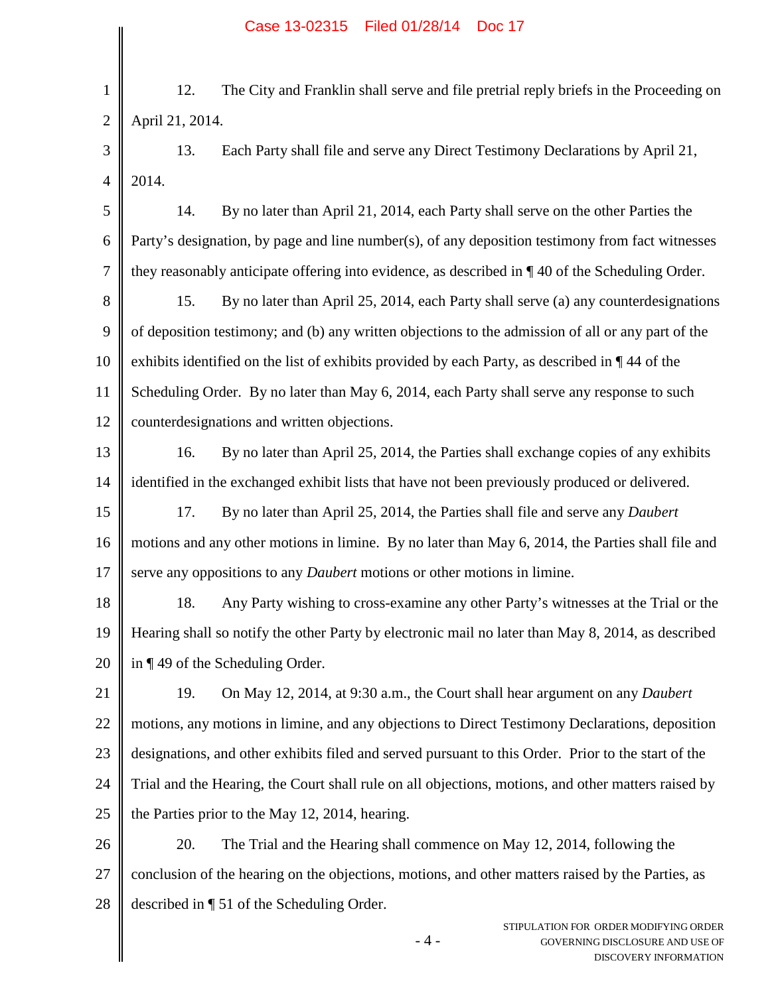1 2 12. The City and Franklin shall serve and file pretrial reply briefs in the Proceeding on April 21, 2014.

3 4 13. Each Party shall file and serve any Direct Testimony Declarations by April 21, 2014.

5 6 7 14. By no later than April 21, 2014, each Party shall serve on the other Parties the Party's designation, by page and line number(s), of any deposition testimony from fact witnesses they reasonably anticipate offering into evidence, as described in ¶ 40 of the Scheduling Order.

8 9 10 11 12 15. By no later than April 25, 2014, each Party shall serve (a) any counterdesignations of deposition testimony; and (b) any written objections to the admission of all or any part of the exhibits identified on the list of exhibits provided by each Party, as described in ¶ 44 of the Scheduling Order. By no later than May 6, 2014, each Party shall serve any response to such counterdesignations and written objections.

13 14 16. By no later than April 25, 2014, the Parties shall exchange copies of any exhibits identified in the exchanged exhibit lists that have not been previously produced or delivered.

15 16 17 17. By no later than April 25, 2014, the Parties shall file and serve any *Daubert* motions and any other motions in limine. By no later than May 6, 2014, the Parties shall file and serve any oppositions to any *Daubert* motions or other motions in limine.

18 19 20 18. Any Party wishing to cross-examine any other Party's witnesses at the Trial or the Hearing shall so notify the other Party by electronic mail no later than May 8, 2014, as described in ¶ 49 of the Scheduling Order.

21 22 23 24 25 19. On May 12, 2014, at 9:30 a.m., the Court shall hear argument on any *Daubert* motions, any motions in limine, and any objections to Direct Testimony Declarations, deposition designations, and other exhibits filed and served pursuant to this Order. Prior to the start of the Trial and the Hearing, the Court shall rule on all objections, motions, and other matters raised by the Parties prior to the May 12, 2014, hearing.

26 27 28 20. The Trial and the Hearing shall commence on May 12, 2014, following the conclusion of the hearing on the objections, motions, and other matters raised by the Parties, as described in ¶ 51 of the Scheduling Order.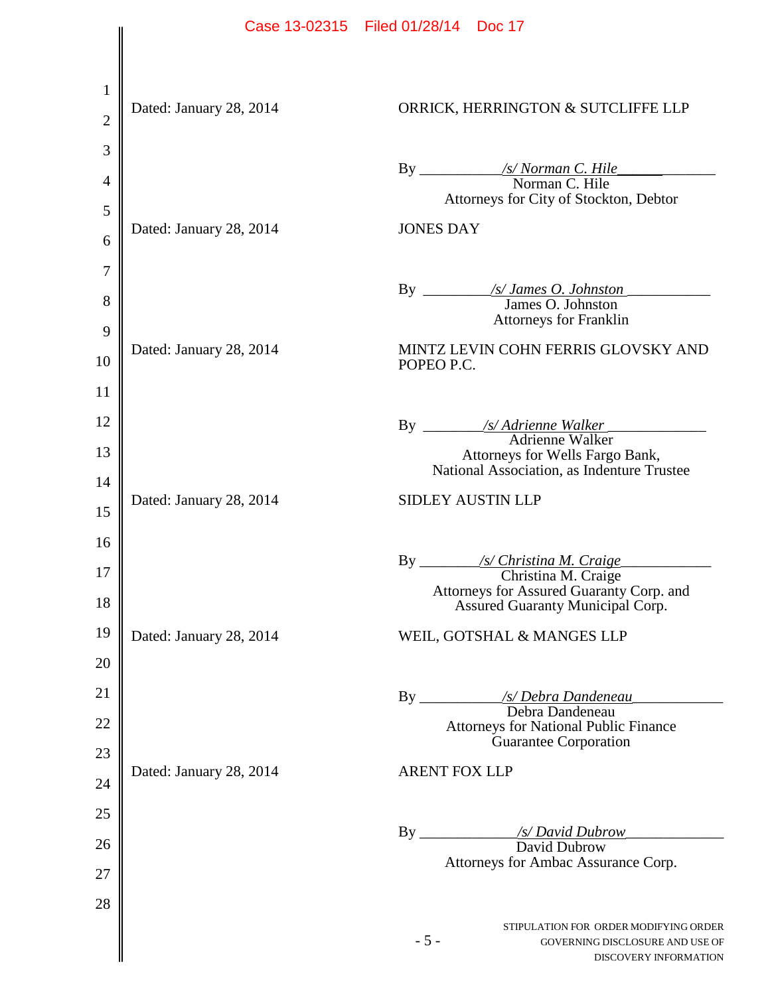|                |                         | Case 13-02315 Filed 01/28/14 Doc 17                                                                        |
|----------------|-------------------------|------------------------------------------------------------------------------------------------------------|
|                |                         |                                                                                                            |
| $\mathbf{1}$   |                         |                                                                                                            |
| $\overline{2}$ | Dated: January 28, 2014 | ORRICK, HERRINGTON & SUTCLIFFE LLP                                                                         |
| 3              |                         |                                                                                                            |
| 4              |                         |                                                                                                            |
| 5              |                         | Attorneys for City of Stockton, Debtor                                                                     |
| 6              | Dated: January 28, 2014 | <b>JONES DAY</b>                                                                                           |
| 7              |                         |                                                                                                            |
| 8              |                         |                                                                                                            |
| 9              |                         | <b>Attorneys for Franklin</b>                                                                              |
| 10             | Dated: January 28, 2014 | MINTZ LEVIN COHN FERRIS GLOVSKY AND<br>POPEO P.C.                                                          |
| 11             |                         |                                                                                                            |
| 12             |                         |                                                                                                            |
| 13             |                         | Attorneys for Wells Fargo Bank,                                                                            |
| 14             |                         | National Association, as Indenture Trustee                                                                 |
| 15             | Dated: January 28, 2014 | <b>SIDLEY AUSTIN LLP</b>                                                                                   |
| 16             |                         |                                                                                                            |
| 17             |                         | Christina M. Craige                                                                                        |
| 18             |                         | Attorneys for Assured Guaranty Corp. and<br>Assured Guaranty Municipal Corp.                               |
| 19             | Dated: January 28, 2014 | WEIL, GOTSHAL & MANGES LLP                                                                                 |
| 20             |                         |                                                                                                            |
| 21             |                         |                                                                                                            |
| 22             |                         | <b>Attorneys for National Public Finance</b>                                                               |
| 23             |                         | <b>Guarantee Corporation</b>                                                                               |
| 24             | Dated: January 28, 2014 | <b>ARENT FOX LLP</b>                                                                                       |
| 25             |                         |                                                                                                            |
| 26             |                         |                                                                                                            |
| 27             |                         | Attorneys for Ambac Assurance Corp.                                                                        |
| 28             |                         |                                                                                                            |
|                |                         | STIPULATION FOR ORDER MODIFYING ORDER<br>$-5-$<br>GOVERNING DISCLOSURE AND USE OF<br>DISCOVERY INFORMATION |